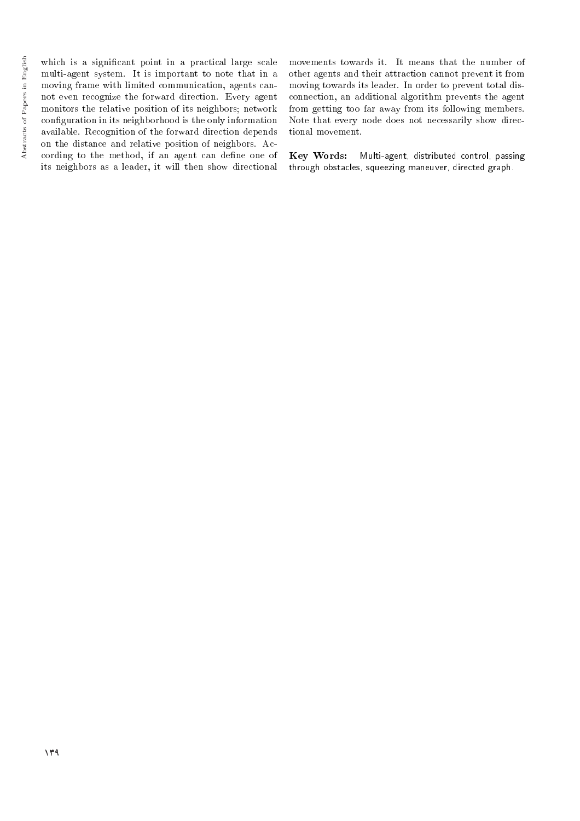which is a significant point in a practical large scale multi-agent system. It is important to note that in a moving frame with limited communication, agents cannot even recognize the forward direction. Every agent monitors the relative position of its neighbors; network conguration in its neighborhood is the only information available. Recognition of the forward direction depends on the distance and relative position of neighbors. According to the method, if an agent can define one of its neighbors as a leader, it will then show directional movements towards it. It means that the number of other agents and their attraction cannot prevent it from moving towards its leader. In order to prevent total disconnection, an additional algorithm prevents the agent from getting too far away from its following members. Note that every node does not necessarily show directional movement.

Key Words: Multi-agent, distributed control, passing through obstacles, squeezing maneuver, directed graph.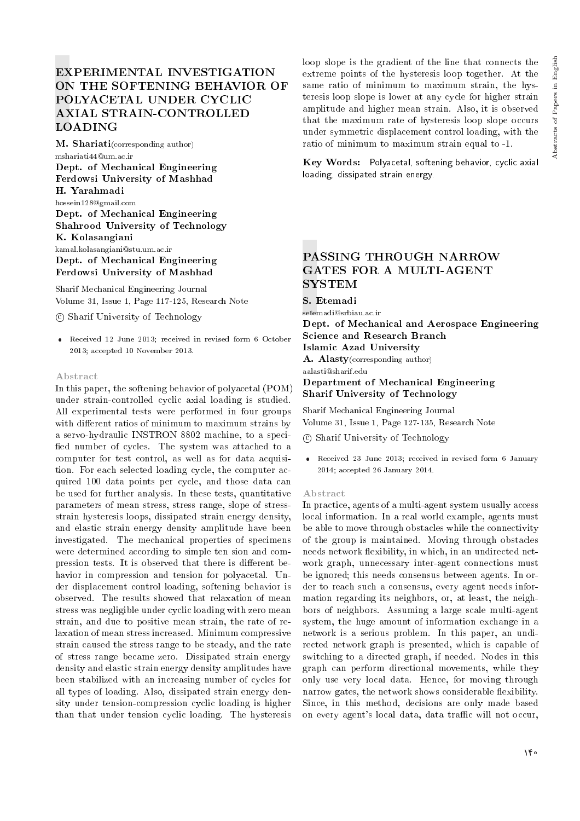# EXPERIMENTAL INVESTIGATION ON THE SOFTENING BEHAVIOR OF POLYACETAL UNDER CYCLIC AXIAL STRAIN-CONTROLLED LOADING

M. Shariati(corresponding author) mshariati44@um.ac.ir

Dept. of Mechanical Engineering Ferdowsi University of Mashhad H. Yarahmadi hossein128@gmail.com Dept. of Mechanical Engineering Shahrood University of Technology K. Kolasangiani kamal.kolasangiani@stu.um.ac.ir Dept. of Mechanical Engineering Ferdowsi University of Mashhad

Sharif Mechanical Engineering Journal Volume 31, Issue 1, Page 117-125, Research Note

c Sharif University of Technology

 Received 12 June 2013; received in revised form 6 October 2013; accepted 10 November 2013.

#### Abstract

In this paper, the softening behavior of polyacetal (POM) under strain-controlled cyclic axial loading is studied. All experimental tests were performed in four groups with different ratios of minimum to maximum strains by a servo-hydraulic INSTRON 8802 machine, to a speci fied number of cycles. The system was attached to a computer for test control, as well as for data acquisition. For each selected loading cycle, the computer acquired 100 data points per cycle, and those data can be used for further analysis. In these tests, quantitative parameters of mean stress, stress range, slope of stressstrain hysteresis loops, dissipated strain energy density, and elastic strain energy density amplitude have been investigated. The mechanical properties of specimens were determined according to simple ten sion and compression tests. It is observed that there is different behavior in compression and tension for polyacetal. Under displacement control loading, softening behavior is observed. The results showed that relaxation of mean stress was negligible under cyclic loading with zero mean strain, and due to positive mean strain, the rate of relaxation of mean stress increased. Minimum compressive strain caused the stress range to be steady, and the rate of stress range became zero. Dissipated strain energy density and elastic strain energy density amplitudes have been stabilized with an increasing number of cycles for all types of loading. Also, dissipated strain energy density under tension-compression cyclic loading is higher than that under tension cyclic loading. The hysteresis

loop slope is the gradient of the line that connects the extreme points of the hysteresis loop together. At the same ratio of minimum to maximum strain, the hysteresis loop slope is lower at any cycle for higher strain amplitude and higher mean strain. Also, it is observed that the maximum rate of hysteresis loop slope occurs under symmetric displacement control loading, with the ratio of minimum to maximum strain equal to -1.

Key Words: Polyacetal, softening behavior, cyclic axial loading, dissipated strain energy.

## PASSING THROUGH NARROW GATES FOR A MULTI-AGENT **SYSTEM**

S. Etemadi

setemadi@srbiau.ac.ir

Dept. of Mechanical and Aerospace Engineering Science and Research Branch Islamic Azad University

A. Alasty(corresponding author)

aalasti@sharif.edu

## Department of Mechanical Engineering Sharif University of Technology

Sharif Mechanical Engineering Journal Volume 31, Issue 1, Page 127-135, Research Note

c Sharif University of Technology

 Received 23 June 2013; received in revised form 6 January 2014; accepted 26 January 2014.

#### Abstract

In practice, agents of a multi-agent system usually access local information. In a real world example, agents must be able to move through obstacles while the connectivity of the group is maintained. Moving through obstacles needs network flexibility, in which, in an undirected network graph, unnecessary inter-agent connections must be ignored; this needs consensus between agents. In order to reach such a consensus, every agent needs information regarding its neighbors, or, at least, the neighbors of neighbors. Assuming a large scale multi-agent system, the huge amount of information exchange in a network is a serious problem. In this paper, an undirected network graph is presented, which is capable of switching to a directed graph, if needed. Nodes in this graph can perform directional movements, while they only use very local data. Hence, for moving through narrow gates, the network shows considerable flexibility. Since, in this method, decisions are only made based on every agent's local data, data traffic will not occur,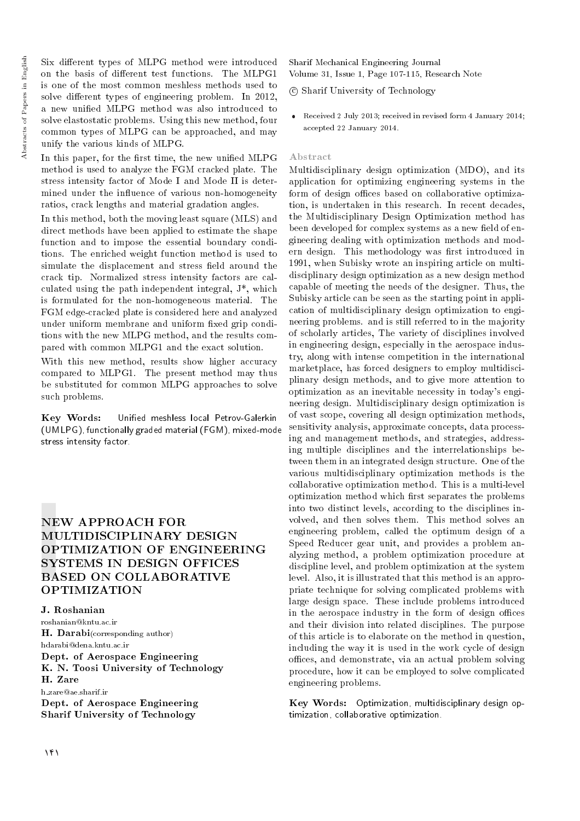Six different types of MLPG method were introduced on the basis of different test functions. The MLPG1 is one of the most common meshless methods used to solve different types of engineering problem. In 2012, a new unied MLPG method was also introduced to solve elastostatic problems. Using this new method, four common types of MLPG can be approached, and may unify the various kinds of MLPG.

In this paper, for the first time, the new unified MLPG method is used to analyze the FGM cracked plate. The stress intensity factor of Mode I and Mode II is determined under the influence of various non-homogeneity ratios, crack lengths and material gradation angles.

In this method, both the moving least square (MLS) and direct methods have been applied to estimate the shape function and to impose the essential boundary conditions. The enriched weight function method is used to simulate the displacement and stress field around the crack tip. Normalized stress intensity factors are calculated using the path independent integral, J\*, which is formulated for the non-homogeneous material. The FGM edge-cracked plate is considered here and analyzed under uniform membrane and uniform fixed grip conditions with the new MLPG method, and the results compared with common MLPG1 and the exact solution.

With this new method, results show higher accuracy compared to MLPG1. The present method may thus be substituted for common MLPG approaches to solve such problems.

Key Words: Unified meshless local Petrov-Galerkin (UMLPG), functionally graded material (FGM), mixed-mode stress intensity factor.

## NEW APPROACH FOR MULTIDISCIPLINARY DESIGN OPTIMIZATION OF ENGINEERING SYSTEMS IN DESIGN OFFICES BASED ON COLLABORATIVE OPTIMIZATION

J. Roshanian roshanian@kntu.ac.ir H. Darabi(corresponding author) hdarabi@dena.kntu.ac.ir Dept. of Aerospace Engineering K. N. Toosi University of Technology H. Zare h zare@ae.sharif.ir Dept. of Aerospace Engineering Sharif University of Technology

Sharif Mechanical Engineering Journal Volume 31, Issue 1, Page 107-115, Research Note

c Sharif University of Technology

 Received 2 July 2013; received in revised form 4 January 2014; accepted 22 January 2014.

## Abstract

Multidisciplinary design optimization (MDO), and its application for optimizing engineering systems in the form of design offices based on collaborative optimization, is undertaken in this research. In recent decades, the Multidisciplinary Design Optimization method has been developed for complex systems as a new field of engineering dealing with optimization methods and modern design. This methodology was first introduced in 1991, when Subisky wrote an inspiring article on multidisciplinary design optimization as a new design method capable of meeting the needs of the designer. Thus, the Subisky article can be seen as the starting point in application of multidisciplinary design optimization to engineering problems. and is still referred to in the majority of scholarly articles, The variety of disciplines involved in engineering design, especially in the aerospace industry, along with intense competition in the international marketplace, has forced designers to employ multidisciplinary design methods, and to give more attention to optimization as an inevitable necessity in today's engineering design. Multidisciplinary design optimization is of vast scope, covering all design optimization methods, sensitivity analysis, approximate concepts, data processing and management methods, and strategies, addressing multiple disciplines and the interrelationships between them in an integrated design structure. One of the various multidisciplinary optimization methods is the collaborative optimization method. This is a multi-level optimization method which first separates the problems into two distinct levels, according to the disciplines involved, and then solves them. This method solves an engineering problem, called the optimum design of a Speed Reducer gear unit, and provides a problem analyzing method, a problem optimization procedure at discipline level, and problem optimization at the system level. Also, it is illustrated that this method is an appropriate technique for solving complicated problems with large design space. These include problems introduced in the aerospace industry in the form of design offices and their division into related disciplines. The purpose of this article is to elaborate on the method in question, including the way it is used in the work cycle of design offices, and demonstrate, via an actual problem solving procedure, how it can be employed to solve complicated engineering problems.

Key Words: Optimization, multidisciplinary design optimization, collaborative optimization.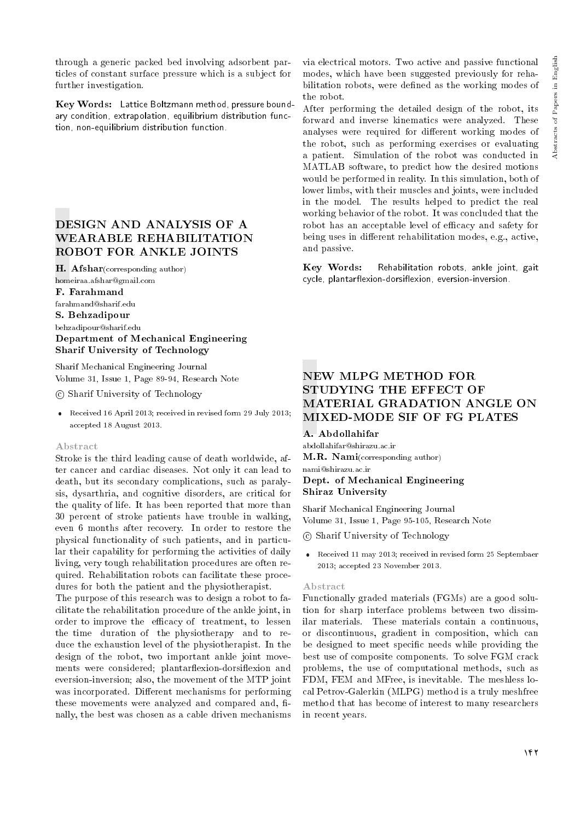through a generic packed bed involving adsorbent particles of constant surface pressure which is a subject for further investigation.

Key Words: Lattice Boltzmann method, pressure boundary condition, extrapolation, equilibrium distribution function, non-equilibrium distribution function.

# DESIGN AND ANALYSIS OF A WEARABLE REHABILITATION ROBOT FOR ANKLE JOINTS

H. Afshar(corresponding author) homeiraa.afshar@gmail.com

F. Farahmand

farahmand@sharif.edu

S. Behzadipour

behzadipour@sharif.edu

## Department of Mechanical Engineering Sharif University of Technology

Sharif Mechanical Engineering Journal Volume 31, Issue 1, Page 89-94, Research Note

c Sharif University of Technology

 Received 16 April 2013; received in revised form 29 July 2013; accepted 18 August 2013.

## Abstract

Stroke is the third leading cause of death worldwide, after cancer and cardiac diseases. Not only it can lead to death, but its secondary complications, such as paralysis, dysarthria, and cognitive disorders, are critical for the quality of life. It has been reported that more than 30 percent of stroke patients have trouble in walking, even 6 months after recovery. In order to restore the physical functionality of such patients, and in particular their capability for performing the activities of daily living, very tough rehabilitation procedures are often required. Rehabilitation robots can facilitate these procedures for both the patient and the physiotherapist.

The purpose of this research was to design a robot to facilitate the rehabilitation procedure of the ankle joint, in order to improve the efficacy of treatment, to lessen the time duration of the physiotherapy and to reduce the exhaustion level of the physiotherapist. In the design of the robot, two important ankle joint movements were considered; plantarflexion-dorsiflexion and eversion-inversion; also, the movement of the MTP joint was incorporated. Different mechanisms for performing these movements were analyzed and compared and, finally, the best was chosen as a cable driven mechanisms

via electrical motors. Two active and passive functional modes, which have been suggested previously for rehabilitation robots, were defined as the working modes of the robot.

After performing the detailed design of the robot, its forward and inverse kinematics were analyzed. These analyses were required for different working modes of the robot, such as performing exercises or evaluating a patient. Simulation of the robot was conducted in MATLAB software, to predict how the desired motions would be performed in reality. In this simulation, both of lower limbs, with their muscles and joints, were included in the model. The results helped to predict the real working behavior of the robot. It was concluded that the robot has an acceptable level of efficacy and safety for being uses in different rehabilitation modes, e.g., active, and passive.

Key Words: Rehabilitation robots, ankle joint, gait cycle, plantarflexion-dorsiflexion, eversion-inversion.

# NEW MLPG METHOD FOR STUDYING THE EFFECT OF MATERIAL GRADATION ANGLE ON MIXED-MODE SIF OF FG PLATES

## A. Abdollahifar

abdollahifar@shirazu.ac.ir

M.R. Nami(corresponding author)

#### nami@shirazu.ac.ir Dept. of Mechanical Engineering Shiraz University

Sharif Mechanical Engineering Journal Volume 31, Issue 1, Page 95-105, Research Note

- c Sharif University of Technology
- Received 11 may 2013; received in revised form 25 Septembaer 2013; accepted 23 November 2013.

#### Abstract

Functionally graded materials (FGMs) are a good solution for sharp interface problems between two dissimilar materials. These materials contain a continuous, or discontinuous, gradient in composition, which can be designed to meet specic needs while providing the best use of composite components. To solve FGM crack problems, the use of computational methods, such as FDM, FEM and MFree, is inevitable. The meshless local Petrov-Galerkin (MLPG) method is a truly meshfree method that has become of interest to many researchers in recent years.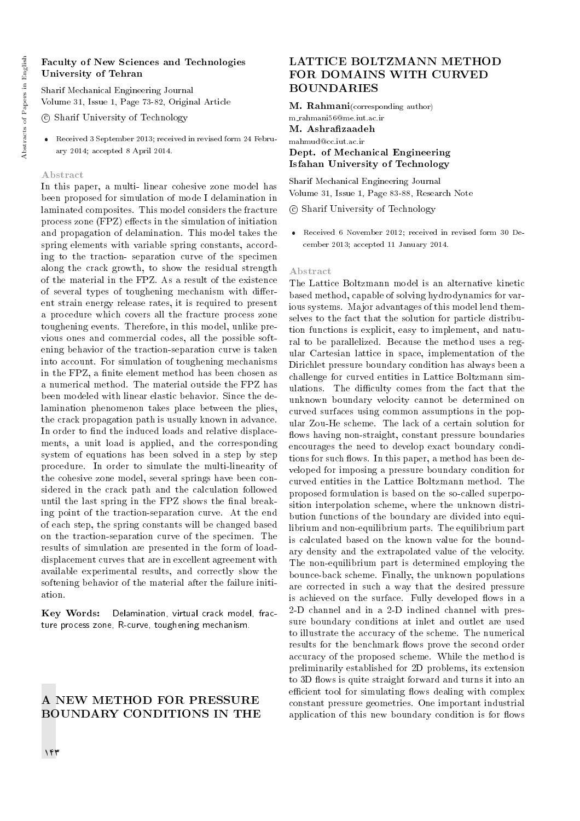## Faculty of New Sciences and Technologies University of Tehran

Sharif Mechanical Engineering Journal Volume 31, Issue 1, Page 73-82, Original Article

c Sharif University of Technology

 Received 3 September 2013; received in revised form 24 February 2014; accepted 8 April 2014.

#### Abstract

In this paper, a multi- linear cohesive zone model has been proposed for simulation of mode I delamination in laminated composites. This model considers the fracture process zone  $(FPZ)$  effects in the simulation of initiation and propagation of delamination. This model takes the spring elements with variable spring constants, according to the traction- separation curve of the specimen along the crack growth, to show the residual strength of the material in the FPZ. As a result of the existence of several types of toughening mechanism with different strain energy release rates, it is required to present a procedure which covers all the fracture process zone toughening events. Therefore, in this model, unlike previous ones and commercial codes, all the possible softening behavior of the traction-separation curve is taken into account. For simulation of toughening mechanisms in the FPZ, a finite element method has been chosen as a numerical method. The material outside the FPZ has been modeled with linear elastic behavior. Since the delamination phenomenon takes place between the plies, the crack propagation path is usually known in advance. In order to find the induced loads and relative displacements, a unit load is applied, and the corresponding system of equations has been solved in a step by step procedure. In order to simulate the multi-linearity of the cohesive zone model, several springs have been considered in the crack path and the calculation followed until the last spring in the FPZ shows the final breaking point of the traction-separation curve. At the end of each step, the spring constants will be changed based on the traction-separation curve of the specimen. The results of simulation are presented in the form of loaddisplacement curves that are in excellent agreement with available experimental results, and correctly show the softening behavior of the material after the failure initiation.

Key Words: Delamination, virtual crack model, fracture process zone, R-curve, toughening mechanism.

## A NEW METHOD FOR PRESSURE BOUNDARY CONDITIONS IN THE

# LATTICE BOLTZMANN METHOD FOR DOMAINS WITH CURVED **BOUNDARIES**

M. Rahmani(corresponding author)

m rahmani56@me.iut.ac.ir M. Ashrafizaadeh mahmud@cc.iut.ac.ir Dept. of Mechanical Engineering Isfahan University of Technology

Sharif Mechanical Engineering Journal Volume 31, Issue 1, Page 83-88, Research Note

c Sharif University of Technology

 Received 6 November 2012; received in revised form 30 December 2013; accepted 11 January 2014.

#### Abstract

The Lattice Boltzmann model is an alternative kinetic based method, capable of solving hydrodynamics for various systems. Major advantages of this model lend themselves to the fact that the solution for particle distribution functions is explicit, easy to implement, and natural to be parallelized. Because the method uses a regular Cartesian lattice in space, implementation of the Dirichlet pressure boundary condition has always been a challenge for curved entities in Lattice Boltzmann simulations. The difficulty comes from the fact that the unknown boundary velocity cannot be determined on curved surfaces using common assumptions in the popular Zou-He scheme. The lack of a certain solution for flows having non-straight, constant pressure boundaries encourages the need to develop exact boundary conditions for such flows. In this paper, a method has been developed for imposing a pressure boundary condition for curved entities in the Lattice Boltzmann method. The proposed formulation is based on the so-called superposition interpolation scheme, where the unknown distribution functions of the boundary are divided into equilibrium and non-equilibrium parts. The equilibrium part is calculated based on the known value for the boundary density and the extrapolated value of the velocity. The non-equilibrium part is determined employing the bounce-back scheme. Finally, the unknown populations are corrected in such a way that the desired pressure is achieved on the surface. Fully developed flows in a 2-D channel and in a 2-D inclined channel with pressure boundary conditions at inlet and outlet are used to illustrate the accuracy of the scheme. The numerical results for the benchmark flows prove the second order accuracy of the proposed scheme. While the method is preliminarily established for 2D problems, its extension to 3D flows is quite straight forward and turns it into an efficient tool for simulating flows dealing with complex constant pressure geometries. One important industrial application of this new boundary condition is for flows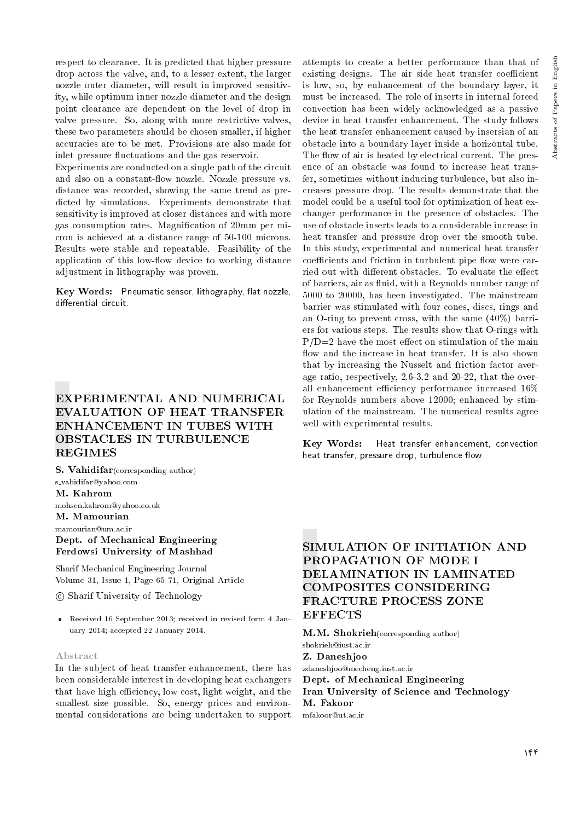respect to clearance. It is predicted that higher pressure drop across the valve, and, to a lesser extent, the larger nozzle outer diameter, will result in improved sensitivity, while optimum inner nozzle diameter and the design point clearance are dependent on the level of drop in valve pressure. So, along with more restrictive valves, these two parameters should be chosen smaller, if higher accuracies are to be met. Provisions are also made for inlet pressure fluctuations and the gas reservoir.

Experiments are conducted on a single path of the circuit and also on a constant-flow nozzle. Nozzle pressure vs. distance was recorded, showing the same trend as predicted by simulations. Experiments demonstrate that sensitivity is improved at closer distances and with more gas consumption rates. Magnication of 20mm per micron is achieved at a distance range of 50-100 microns. Results were stable and repeatable. Feasibility of the application of this low-flow device to working distance adjustment in lithography was proven.

Key Words: Pneumatic sensor, lithography, flat nozzle, differential circuit.

# EXPERIMENTAL AND NUMERICAL EVALUATION OF HEAT TRANSFER ENHANCEMENT IN TUBES WITH OBSTACLES IN TURBULENCE REGIMES

S. Vahidifar(corresponding author) s vahidifar@yahoo.com M. Kahrom mohsen.kahrom@yahoo.co.uk M. Mamourian

mamourian@um.ac.ir

## Dept. of Mechanical Engineering Ferdowsi University of Mashhad

Sharif Mechanical Engineering Journal Volume 31, Issue 1, Page 65-71, Original Article

c Sharif University of Technology

 Received 16 September 2013; received in revised form 4 January 2014; accepted 22 January 2014.

#### Abstract

In the subject of heat transfer enhancement, there has been considerable interest in developing heat exchangers that have high efficiency, low cost, light weight, and the smallest size possible. So, energy prices and environmental considerations are being undertaken to support attempts to create a better performance than that of existing designs. The air side heat transfer coefficient is low, so, by enhancement of the boundary layer, it must be increased. The role of inserts in internal forced convection has been widely acknowledged as a passive device in heat transfer enhancement. The study follows the heat transfer enhancement caused by insersian of an obstacle into a boundary layer inside a horizontal tube. The flow of air is heated by electrical current. The presence of an obstacle was found to increase heat transfer, sometimes without inducing turbulence, but also increases pressure drop. The results demonstrate that the model could be a useful tool for optimization of heat exchanger performance in the presence of obstacles. The use of obstacle inserts leads to a considerable increase in heat transfer and pressure drop over the smooth tube. In this study, experimental and numerical heat transfer coefficients and friction in turbulent pipe flow were carried out with different obstacles. To evaluate the effect of barriers, air as fluid, with a Reynolds number range of 5000 to 20000, has been investigated. The mainstream barrier was stimulated with four cones, discs, rings and an O-ring to prevent cross, with the same (40%) barriers for various steps. The results show that O-rings with  $P/D=2$  have the most effect on stimulation of the main flow and the increase in heat transfer. It is also shown that by increasing the Nusselt and friction factor average ratio, respectively, 2.6-3.2 and 20-22, that the overall enhancement efficiency performance increased  $16\%$ for Reynolds numbers above 12000; enhanced by stimulation of the mainstream. The numerical results agree well with experimental results.

Key Words: Heat transfer enhancement, convection heat transfer, pressure drop, turbulence flow.

# SIMULATION OF INITIATION AND PROPAGATION OF MODE I DELAMINATION IN LAMINATED COMPOSITES CONSIDERING FRACTURE PROCESS ZONE **EFFECTS**

M.M. Shokrieh(corresponding author)

shokrieh@iust.ac.ir

Z. Daneshjoo

zdaneshjoo@mecheng.iust.ac.ir

Dept. of Mechanical Engineering

Iran University of Science and Technology M. Fakoor

mfakoor@ut.ac.ir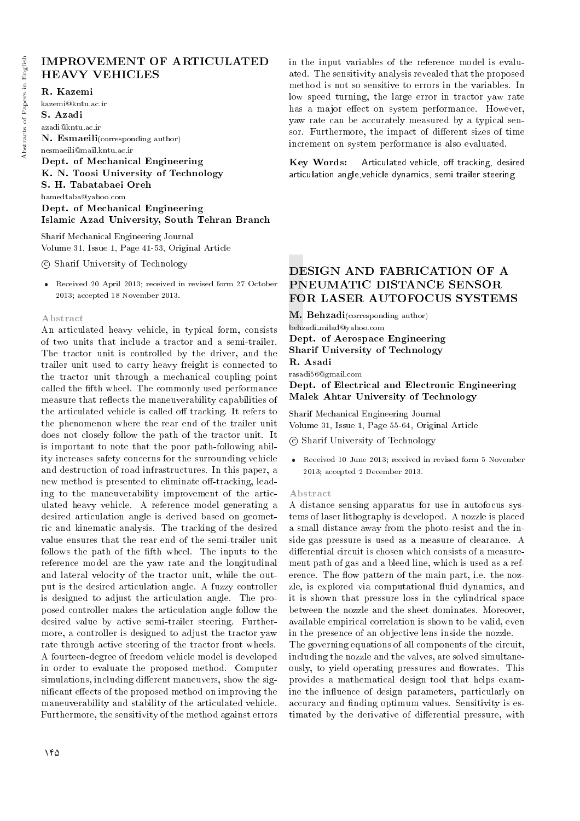## IMPROVEMENT OF ARTICULATED HEAVY VEHICLES

## R. Kazemi

kazemi@kntu.ac.ir S. Azadi azadi@kntu.ac.ir N. Esmaeili(corresponding author) nesmaeili@mail.kntu.ac.ir Dept. of Mechanical Engineering K. N. Toosi University of Technology S. H. Tabatabaei Oreh hamedtaba@yahoo.com

Dept. of Mechanical Engineering Islamic Azad University, South Tehran Branch

Sharif Mechanical Engineering Journal Volume 31, Issue 1, Page 41-53, Original Article

c Sharif University of Technology

 Received 20 April 2013; received in revised form 27 October 2013; accepted 18 November 2013.

#### Abstract

An articulated heavy vehicle, in typical form, consists of two units that include a tractor and a semi-trailer. The tractor unit is controlled by the driver, and the trailer unit used to carry heavy freight is connected to the tractor unit through a mechanical coupling point called the fth wheel. The commonly used performance measure that reflects the maneuverability capabilities of the articulated vehicle is called off tracking. It refers to the phenomenon where the rear end of the trailer unit does not closely follow the path of the tractor unit. It is important to note that the poor path-following ability increases safety concerns for the surrounding vehicle and destruction of road infrastructures. In this paper, a new method is presented to eliminate off-tracking, leading to the maneuverability improvement of the articulated heavy vehicle. A reference model generating a desired articulation angle is derived based on geometric and kinematic analysis. The tracking of the desired value ensures that the rear end of the semi-trailer unit follows the path of the fifth wheel. The inputs to the reference model are the yaw rate and the longitudinal and lateral velocity of the tractor unit, while the output is the desired articulation angle. A fuzzy controller is designed to adjust the articulation angle. The proposed controller makes the articulation angle follow the desired value by active semi-trailer steering. Furthermore, a controller is designed to adjust the tractor yaw rate through active steering of the tractor front wheels. A fourteen-degree of freedom vehicle model is developed in order to evaluate the proposed method. Computer simulations, including different maneuvers, show the significant effects of the proposed method on improving the maneuverability and stability of the articulated vehicle. Furthermore, the sensitivity of the method against errors in the input variables of the reference model is evaluated. The sensitivity analysis revealed that the proposed method is not so sensitive to errors in the variables. In low speed turning, the large error in tractor yaw rate has a major effect on system performance. However, yaw rate can be accurately measured by a typical sensor. Furthermore, the impact of different sizes of time increment on system performance is also evaluated.

Key Words: Articulated vehicle, off tracking, desired articulation angle,vehicle dynamics, semi trailer steering.

# DESIGN AND FABRICATION OF A PNEUMATIC DISTANCE SENSOR FOR LASER AUTOFOCUS SYSTEMS

M. Behzadi(corresponding author)

behzadi milad@yahoo.com

Dept. of Aerospace Engineering Sharif University of Technology

R. Asadi

rasadi56@gmail.com

Dept. of Electrical and Electronic Engineering Malek Ahtar University of Technology

Sharif Mechanical Engineering Journal Volume 31, Issue 1, Page 55-64, Original Article

c Sharif University of Technology

 Received 10 June 2013; received in revised form 5 November 2013; accepted 2 December 2013.

#### Abstract

A distance sensing apparatus for use in autofocus systems of laser lithography is developed. A nozzle is placed a small distance away from the photo-resist and the inside gas pressure is used as a measure of clearance. A differential circuit is chosen which consists of a measurement path of gas and a bleed line, which is used as a reference. The flow pattern of the main part, i.e. the nozzle, is explored via computational fluid dynamics, and it is shown that pressure loss in the cylindrical space between the nozzle and the sheet dominates. Moreover, available empirical correlation is shown to be valid, even in the presence of an objective lens inside the nozzle.

The governing equations of all components of the circuit, including the nozzle and the valves, are solved simultaneously, to yield operating pressures and flowrates. This provides a mathematical design tool that helps examine the influence of design parameters, particularly on accuracy and finding optimum values. Sensitivity is estimated by the derivative of differential pressure, with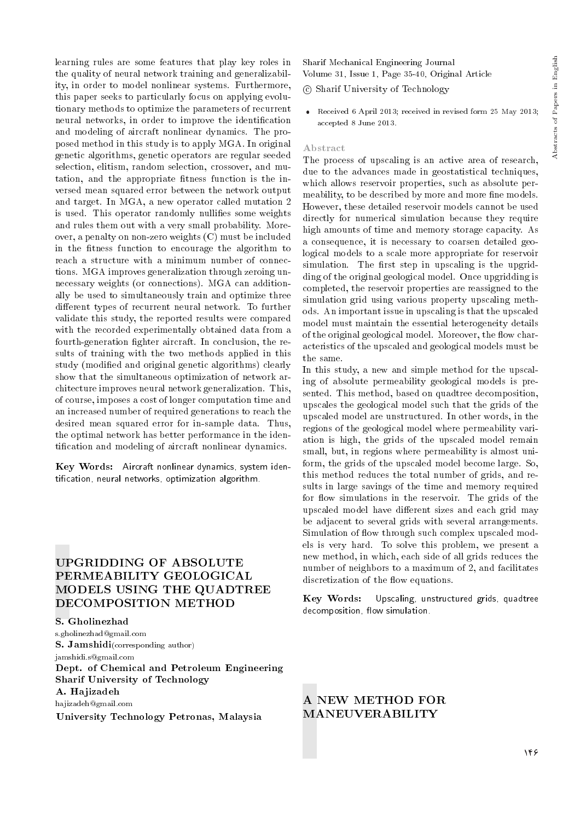learning rules are some features that play key roles in the quality of neural network training and generalizability, in order to model nonlinear systems. Furthermore, this paper seeks to particularly focus on applying evolutionary methods to optimize the parameters of recurrent neural networks, in order to improve the identification and modeling of aircraft nonlinear dynamics. The proposed method in this study is to apply MGA. In original genetic algorithms, genetic operators are regular seeded selection, elitism, random selection, crossover, and mutation, and the appropriate fitness function is the inversed mean squared error between the network output and target. In MGA, a new operator called mutation 2 is used. This operator randomly nullifies some weights and rules them out with a very small probability. Moreover, a penalty on non-zero weights (C) must be included in the fitness function to encourage the algorithm to reach a structure with a minimum number of connections. MGA improves generalization through zeroing unnecessary weights (or connections). MGA can additionally be used to simultaneously train and optimize three different types of recurrent neural network. To further validate this study, the reported results were compared with the recorded experimentally obtained data from a fourth-generation fighter aircraft. In conclusion, the results of training with the two methods applied in this study (modied and original genetic algorithms) clearly show that the simultaneous optimization of network architecture improves neural network generalization. This, of course, imposes a cost of longer computation time and an increased number of required generations to reach the desired mean squared error for in-sample data. Thus, the optimal network has better performance in the identication and modeling of aircraft nonlinear dynamics.

Key Words: Aircraft nonlinear dynamics, system identication, neural networks, optimization algorithm.

# UPGRIDDING OF ABSOLUTE PERMEABILITY GEOLOGICAL MODELS USING THE QUADTREE DECOMPOSITION METHOD

S. Gholinezhad s.gholinezhad@gmail.com S. Jamshidi(corresponding author) jamshidi.s@gmail.com Dept. of Chemical and Petroleum Engineering Sharif University of Technology A. Hajizadeh hajizadeh@gmail.com University Technology Petronas, Malaysia

Sharif Mechanical Engineering Journal Volume 31, Issue 1, Page 35-40, Original Article

c Sharif University of Technology

 Received 6 April 2013; received in revised form 25 May 2013; accepted 8 June 2013.

#### Abstract

The process of upscaling is an active area of research, due to the advances made in geostatistical techniques, which allows reservoir properties, such as absolute permeability, to be described by more and more fine models. However, these detailed reservoir models cannot be used directly for numerical simulation because they require high amounts of time and memory storage capacity. As a consequence, it is necessary to coarsen detailed geological models to a scale more appropriate for reservoir simulation. The first step in upscaling is the upgridding of the original geological model. Once upgridding is completed, the reservoir properties are reassigned to the simulation grid using various property upscaling methods. An important issue in upscaling is that the upscaled model must maintain the essential heterogeneity details of the original geological model. Moreover, the flow characteristics of the upscaled and geological models must be the same.

In this study, a new and simple method for the upscaling of absolute permeability geological models is presented. This method, based on quadtree decomposition, upscales the geological model such that the grids of the upscaled model are unstructured. In other words, in the regions of the geological model where permeability variation is high, the grids of the upscaled model remain small, but, in regions where permeability is almost uniform, the grids of the upscaled model become large. So, this method reduces the total number of grids, and results in large savings of the time and memory required for flow simulations in the reservoir. The grids of the upscaled model have different sizes and each grid may be adjacent to several grids with several arrangements. Simulation of flow through such complex upscaled models is very hard. To solve this problem, we present a new method, in which, each side of all grids reduces the number of neighbors to a maximum of 2, and facilitates discretization of the flow equations.

Key Words: Upscaling, unstructured grids, quadtree decomposition, flow simulation.

## A NEW METHOD FOR MANEUVERABILITY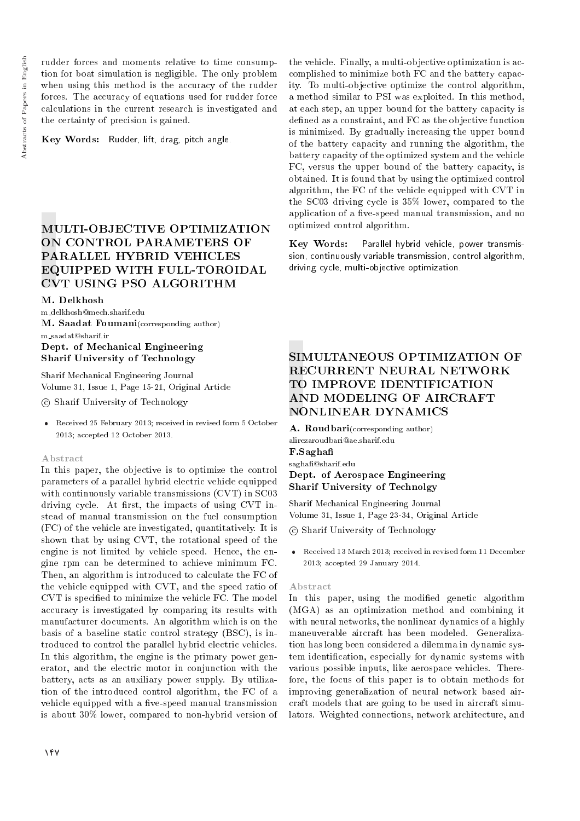rudder forces and moments relative to time consumption for boat simulation is negligible. The only problem when using this method is the accuracy of the rudder forces. The accuracy of equations used for rudder force calculations in the current research is investigated and the certainty of precision is gained.

Key Words: Rudder, lift, drag, pitch angle.

# MULTI-OBJECTIVE OPTIMIZATION ON CONTROL PARAMETERS OF PARALLEL HYBRID VEHICLES EQUIPPED WITH FULL-TOROIDAL CVT USING PSO ALGORITHM

## M. Delkhosh

m delkhosh@mech.sharif.edu M. Saadat Foumani(corresponding author)

## m saadat@sharif.ir Dept. of Mechanical Engineering Sharif University of Technology

Sharif Mechanical Engineering Journal Volume 31, Issue 1, Page 15-21, Original Article

c Sharif University of Technology

 Received 25 February 2013; received in revised form 5 October 2013; accepted 12 October 2013.

## Abstract

In this paper, the objective is to optimize the control parameters of a parallel hybrid electric vehicle equipped with continuously variable transmissions (CVT) in SC03 driving cycle. At first, the impacts of using  $CVT$  instead of manual transmission on the fuel consumption (FC) of the vehicle are investigated, quantitatively. It is shown that by using CVT, the rotational speed of the engine is not limited by vehicle speed. Hence, the engine rpm can be determined to achieve minimum FC. Then, an algorithm is introduced to calculate the FC of the vehicle equipped with CVT, and the speed ratio of CVT is specied to minimize the vehicle FC. The model accuracy is investigated by comparing its results with manufacturer documents. An algorithm which is on the basis of a baseline static control strategy (BSC), is introduced to control the parallel hybrid electric vehicles. In this algorithm, the engine is the primary power generator, and the electric motor in conjunction with the battery, acts as an auxiliary power supply. By utilization of the introduced control algorithm, the FC of a vehicle equipped with a five-speed manual transmission is about 30% lower, compared to non-hybrid version of

the vehicle. Finally, a multi-objective optimization is accomplished to minimize both FC and the battery capacity. To multi-objective optimize the control algorithm, a method similar to PSI was exploited. In this method, at each step, an upper bound for the battery capacity is defined as a constraint, and FC as the objective function is minimized. By gradually increasing the upper bound of the battery capacity and running the algorithm, the battery capacity of the optimized system and the vehicle FC, versus the upper bound of the battery capacity, is obtained. It is found that by using the optimized control algorithm, the FC of the vehicle equipped with CVT in the SC03 driving cycle is 35% lower, compared to the application of a five-speed manual transmission, and no optimized control algorithm.

Key Words: Parallel hybrid vehicle, power transmission, continuously variable transmission, control algorithm, driving cycle, multi-objective optimization.

# SIMULTANEOUS OPTIMIZATION OF RECURRENT NEURAL NETWORK TO IMPROVE IDENTIFICATION AND MODELING OF AIRCRAFT NONLINEAR DYNAMICS

A. Roudbari(corresponding author) alirezaroudbari@ae.sharif.edu F.Sagha sagha@sharif.edu

## Dept. of Aerospace Engineering Sharif University of Technolgy

Sharif Mechanical Engineering Journal Volume 31, Issue 1, Page 23-34, Original Article

c Sharif University of Technology

 Received 13 March 2013; received in revised form 11 December 2013; accepted 29 January 2014.

## Abstract

In this paper, using the modified genetic algorithm (MGA) as an optimization method and combining it with neural networks, the nonlinear dynamics of a highly maneuverable aircraft has been modeled. Generalization has long been considered a dilemma in dynamic system identication, especially for dynamic systems with various possible inputs, like aerospace vehicles. Therefore, the focus of this paper is to obtain methods for improving generalization of neural network based aircraft models that are going to be used in aircraft simulators. Weighted connections, network architecture, and